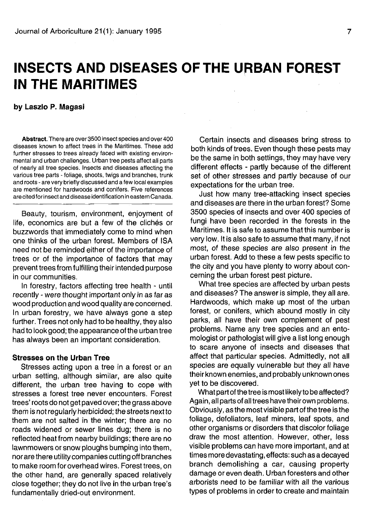# **INSECTS AND DISEASES OF THE URBAN FOREST IN THE MARITIMES**

## **by Laszlo P. Magasi**

**Abstract.** There are over 3500 insect species and over 400 diseases known to affect trees in the Maritimes. These add further stresses to trees already faced with existing environmental and urban challenges. Urban tree pests affect all parts of nearly all tree species. Insects and diseases affecting the various tree parts - foliage, shoots, twigs and branches, trunk and roots - are very briefly discussed and a few local examples are mentioned for hardwoods and conifers. Five references are cited for insect and disease identification in eastern Canada.

Beauty, tourism, environment, enjoyment of life, economics are but a few of the clichés or buzzwords that immediately come to mind when one thinks of the urban forest. Members of ISA need not be reminded either of the importance of trees or of the importance of factors that may prevent trees from fulfilling their intended purpose in our communities.

In forestry, factors affecting tree health - until recently - were thought important only in as far as wood production and wood quality are concerned. In urban forestry, we have always gone a step further. Trees not only had to be healthy, they also had to look good; the appearance of the urban tree has always been an important consideration.

## **Stresses on the Urban Tree**

Stresses acting upon a tree in a forest or an urban setting, although similar, are also quite different, the urban tree having to cope with stresses a forest tree never encounters. Forest trees' roots do not get paved over; the grass above them is not regularly herbicided; the streets next to them are not salted in the winter; there are no roads widened or sewer lines dug; there is no reflected heat from nearby buildings; there are no lawnmowers or snow ploughs bumping into them, nor are there utility companies cutting off branches to make room for overhead wires. Forest trees, on the other hand, are generally spaced relatively close together; they do not live in the urban tree's fundamentally dried-out environment.

Certain insects and diseases bring stress to both kinds of trees. Even though these pests may be the same in both settings, they may have very different effects - partly because of the different set of other stresses and partly because of our expectations for the urban tree.

Just how many tree-attacking insect species and diseases are there in the urban forest? Some 3500 species of insects and over 400 species of fungi have been recorded in the forests in the Maritimes. It is safe to assume that this number is very low. It is also safe to assume that many, if not most, of these species are also present in the urban forest. Add to these a few pests specific to the city and you have plenty to worry about concerning the urban forest pest picture.

What tree species are affected by urban pests and diseases? The answer is simple, they all are. Hardwoods, which make up most of the urban forest, or conifers, which abound mostly in city parks, all have their own complement of pest problems. Name any tree species and an entomologist or pathologist will give a list long enough to scare anyone of insects and diseases that affect that particular species. Admittedly, not all species are equally vulnerable but they all have their known enemies, and probably unknown ones yet to be discovered.

What part of the tree is most likely to be affected? Again, all parts of all trees have theirown problems. Obviously, as the most visible part of the tree is the foliage, defoliators, leaf miners, leaf spots, and other organisms or disorders that discolor foliage draw the most attention. However, other, less visible problems can have more important, and at times more devastating, effects: such as a decayed branch demolishing a car, causing property damage or even death. Urban foresters and other arborists need to be familiar with all the various types of problems in order to create and maintain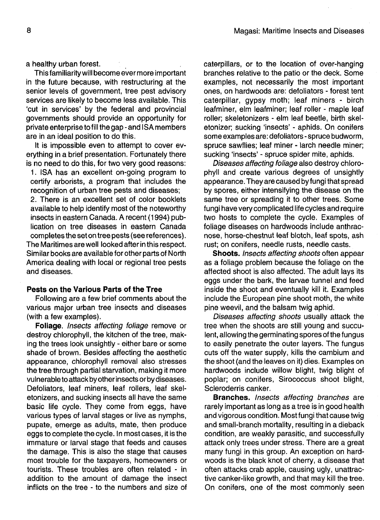a healthy urban forest.

This familiarity will become ever more important in the future because, with restructuring at the senior levels of government, tree pest advisory services are likely to become less available. This 'cut in services' by the federal and provincial governments should provide an opportunity for private enterprise to fill the gap - and ISA members are in an ideal position to do this.

It is impossible even to attempt to cover everything in a brief presentation. Fortunately there is no need to do this, for two very good reasons:

1. ISA has an excellent on-going program to certify arborists, a program that includes the recognition of urban tree pests and diseases;

2. There is an excellent set of color booklets available to help identify most of the noteworthy insects in eastern Canada. A recent (1994) publication on tree diseases in eastern Canada completes the set on tree pests (see references). The Maritimes are well looked after in this respect. Similar books are available for other parts of North America dealing with local or regional tree pests and diseases.

#### **Pests on the Various Parts of the Tree**

Following are a few brief comments about the various major urban tree insects and diseases (with a few examples).

**Foliage.** Insects affecting foliage remove or destroy chlorophyll, the kitchen of the tree, making the trees look unsightly - either bare or some shade of brown. Besides affecting the aesthetic appearance, chlorophyll removal also stresses the tree through partial starvation, making it more vulnerable to attack by other insects or by diseases. Defoliators, leaf miners, leaf rollers, leaf skeletonizers, and sucking insects all have the same basic life cycle. They come from eggs, have various types of larval stages or live as nymphs, pupate, emerge as adults, mate, then produce eggs to complete the cycle. In most cases, it is the immature or larval stage that feeds and causes the damage. This is also the stage that causes most trouble for the taxpayers, homeowners or tourists. These troubles are often related - in addition to the amount of damage the insect inflicts on the tree - to the numbers and size of caterpillars, or to the location of over-hanging branches relative to the patio or the deck. Some examples, not necessarily the most important ones, on hardwoods are: defoliators - forest tent caterpillar, gypsy moth; leaf miners - birch leafminer, elm leafminer; leaf roller - maple leaf roller; skeletonizers - elm leaf beetle, birth skeletonizer; sucking 'insects' - aphids. On conifers some examples are: defoliators - spruce budworm, spruce sawflies; leaf miner - larch needle miner; sucking 'insects' - spruce spider mite, aphids.

Diseases affecting foliage also destroy chlorophyll and create various degrees of unsightly appearance. They are caused by fungi that spread by spores, either intensifying the disease on the same tree or spreading it to other trees. Some fungi have very complicated life cycles and require two hosts to complete the cycle. Examples of foliage diseases on hardwoods include anthracnose, horse-chestnut leaf blotch, leaf spots, ash rust; on conifers, needle rusts, needle casts.

**Shoots.** Insects affecting shoots often appear as a foliage problem because the foliage on the affected shoot is also affected. The adult lays its eggs under the bark, the larvae tunnel and feed inside the shoot and eventually kill it. Examples include the European pine shoot moth, the white pine weevil, and the balsam twig aphid.

Diseases affecting shoots usually attack the tree when the shoots are still young and succulent, allowing the germinating spores of the fungus to easily penetrate the outer layers. The fungus cuts off the water supply, kills the cambium and the shoot (and the leaves on it) dies. Examples on hardwoods include willow blight, twig blight of poplar; on conifers, Sirococcus shoot blight, Scleroderris canker.

**Branches.** Insects affecting branches are rarely important as long as a tree is in good health and vigorous condition. Most fungi that cause twig and small-branch mortality, resulting in a dieback condition, are weakly parasitic, and successfully attack only trees under stress. There are a great many fungi in this group. An exception on hardwoods is the black knot of cherry, a disease that often attacks crab apple, causing ugly, unattractive canker-like growth, and that may kill the tree. On conifers, one of the most commonly seen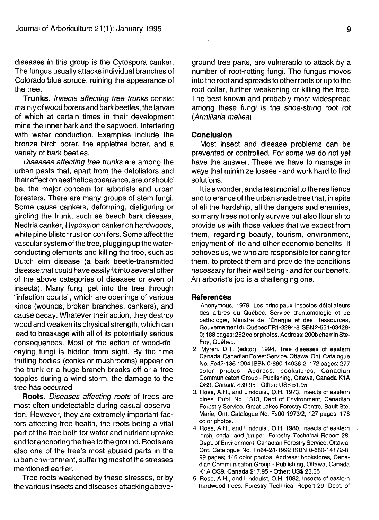diseases in this group is the Cytospora canker. The fungus usually attacks individual branches of Colorado blue spruce, ruining the appearance of the tree.

**Trunks.** Insects affecting tree trunks consist mainly of wood borers and bark beetles, the larvae of which at certain times in their development mine the inner bark and the sapwood, interfering with water conduction. Examples include the bronze birch borer, the appletree borer, and a variety of bark beetles.

Diseases affecting tree trunks are among the urban pests that, apart from the defoliators and their effect on aesthetic appearance, are,or should be, the major concern for arborists and urban foresters. There are many groups of stem fungi. Some cause cankers, deforming, disfiguring or girdling the trunk, such as beech bark disease, Nectria canker, Hypoxylon canker on hardwoods, white pine blister rust on conifers. Some affect the vascular system of the tree, plugging up the waterconducting elements and killing the tree, such as Dutch elm disease (a bark beetle-transmitted disease .that could have easily fit into several other of the above categories of diseases or even of insects). Many fungi get into the tree through "infection courts", which are openings of various kinds (wounds, broken branches, cankers), and cause decay. Whatever their action, they destroy wood and weaken its physical strength, which can lead to breakage with all of its potentially serious consequences. Most of the action of wood-decaying fungi is hidden from sight. By the time fruiting bodies (conks or mushrooms) appear on the trunk or a huge branch breaks off or a tree topples during a wind-storm, the damage to the tree has occurred.

**Roots.** Diseases affecting roots of trees are most often undetectable during casual observation. However, they are extremely important factors affecting tree health, the roots being a vital part of the tree both for water and nutrient uptake and for anchoring the tree to the ground. Roots are also one of the tree's most abused parts in the urban environment, suffering most of the stresses mentioned earlier.

Tree roots weakened by these stresses, or by the various insects and diseases attacking above-

ground tree parts, are vulnerable to attack by a number of root-rotting fungi. The fungus moves into the root and spreads to other roots or up to the root collar, further weakening or killing the tree. The best known and probably most widespread among these fungi is the shoe-string root rot (Armillaria mellea).

# **Conclusion**

Most insect and disease problems can be prevented or controlled. For some we do not yet have the answer. These we have to manage in ways that minimize losses - and work hard to find solutions.

It is a wonder, and a testimonial to the resilience and tolerance of the urban shade tree that, in spite of all the hardship, all the dangers and enemies, so many trees not only survive but also flourish to provide us with those values that we expect from them, regarding beauty, tourism, environment, enjoyment of life and other economic benefits. It behoves us, we who are responsible for caring for them, to protect them and provide the conditions necessary for their well being - and for our benefit. An arborist's job is a challenging one.

#### **References**

- 1. Anonymous. 1979. Les principaux insectes defoliateurs des arbres du Quebec. Service d'entomologie et de pathologie, Ministre de I'Energie et des Ressources, Gouvernement du Quebec ER1 -3294-8 ISBN 2-551 -03428- 0; 188 pages; 252 color photos. Address: 200b chemin Ste-Foy, Québec.
- 2. Myren, D.T. (editor). 1994. Tree diseases of eastern Canada. Canadian Forest Service, Ottawa, Ont. Catalogue No. FO42-186 1994 ISBN 0-660-14936-2; 172 pages; 277 color photos. Address: bookstores, Canadian Communicaton Group - Publishing, Ottawa, Canada K1A OS9, Canada \$39.95 - Other: US\$ 51.95
- 3. Rose, A.H., and Lindquist, O.H. 1973. Insects of eastern pines. Publ. No. 1313, Dept of Environment, Canadian Forestry Service, Great Lakes Forestry Centre, Sault Ste. Marie, Ont. Catalogue No. FsOO-1973/2; 127 pages; 178 color photos.
- 4. Rose, A.H., and Lindquist, O.H. 1980. Insects of eastern larch, cedar and juniper. Forestry Technical Report 28. Dept. of Environment, Canadian Forestry Service, Ottawa, Ont. Catalogue No. Fo64-28-1992 ISBN 0-660-14172-8; 99 pages; 146 color photos. Address: bookstores, Canadian Communicaton Group - Publishing, Ottawa, Canada K1A OS9, Canada \$17.95 - Other: US\$ 23.35
- 5. Rose, A.H., and Lindquist, O.H. 1982. Insects of eastern hardwood trees. Forestry Technical Report 29. Dept. of